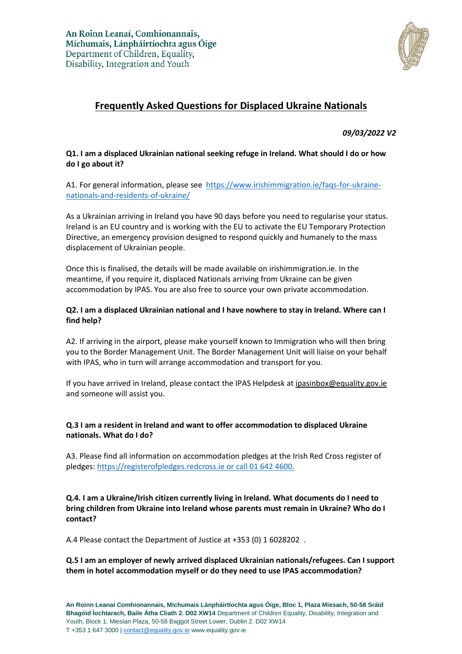

# **Frequently Asked Questions for Displaced Ukraine Nationals**

*09/03/2022 V2*

# **Q1. I am a displaced Ukrainian national seeking refuge in Ireland. What should I do or how do I go about it?**

A1. For general information, please see [https://www.irishimmigration.ie/faqs-for-ukraine](https://www.irishimmigration.ie/faqs-for-ukraine-nationals-and-residents-of-ukraine/)[nationals-and-residents-of-ukraine/](https://www.irishimmigration.ie/faqs-for-ukraine-nationals-and-residents-of-ukraine/)

As a Ukrainian arriving in Ireland you have 90 days before you need to regularise your status. Ireland is an EU country and is working with the EU to activate the EU Temporary Protection Directive, an emergency provision designed to respond quickly and humanely to the mass displacement of Ukrainian people.

Once this is finalised, the details will be made available on irishimmigration.ie. In the meantime, if you require it, displaced Nationals arriving from Ukraine can be given accommodation by IPAS. You are also free to source your own private accommodation.

## **Q2. I am a displaced Ukrainian national and I have nowhere to stay in Ireland. Where can I find help?**

A2. If arriving in the airport, please make yourself known to Immigration who will then bring you to the Border Management Unit. The Border Management Unit will liaise on your behalf with IPAS, who in turn will arrange accommodation and transport for you.

If you have arrived in Ireland, please contact the IPAS Helpdesk a[t ipasinbox@equality.gov.ie](mailto:ipasinbox@equality.gov.ie) and someone will assist you.

## **Q.3 I am a resident in Ireland and want to offer accommodation to displaced Ukraine nationals. What do I do?**

A3. Please find all information on accommodation pledges at the Irish Red Cross register of pledges: https://registerofpledges.redcross.ie or call 01 642 4600.

## **Q.4. I am a Ukraine/Irish citizen currently living in Ireland. What documents do I need to bring children from Ukraine into Ireland whose parents must remain in Ukraine? Who do I contact?**

A.4 Please contact the Department of Justice at +353 (0) 1 6028202 .

# **Q.5 I am an employer of newly arrived displaced Ukrainian nationals/refugees. Can I support them in hotel accommodation myself or do they need to use IPAS accommodation?**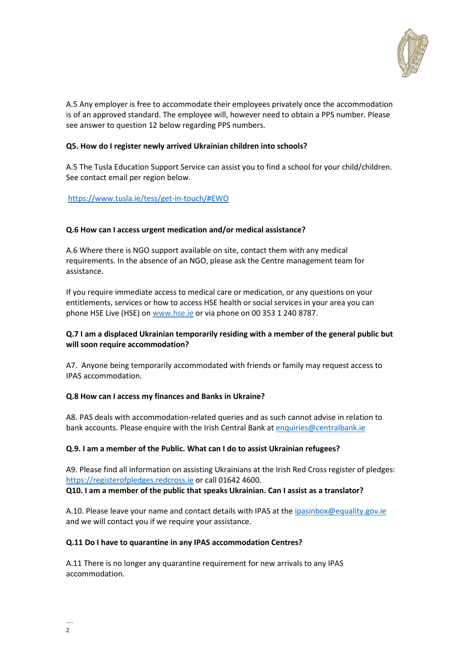

A.5 Any employer is free to accommodate their employees privately once the accommodation is of an approved standard. The employee will, however need to obtain a PPS number. Please see answer to question 12 below regarding PPS numbers.

## **Q5. How do I register newly arrived Ukrainian children into schools?**

A.5 The Tusla Education Support Service can assist you to find a school for your child/children. See contact email per region below.

<https://www.tusla.ie/tess/get-in-touch/#EWO>

## **Q.6 How can I access urgent medication and/or medical assistance?**

A.6 Where there is NGO support available on site, contact them with any medical requirements. In the absence of an NGO, please ask the Centre management team for assistance.

If you require immediate access to medical care or medication, or any questions on your entitlements, services or how to access HSE health or social services in your area you can phone HSE Live (HSE) o[n www.hse.ie](http://www.hse.ie/) or via phone on 00 353 1 240 8787.

# **Q.7 I am a displaced Ukrainian temporarily residing with a member of the general public but will soon require accommodation?**

A7. Anyone being temporarily accommodated with friends or family may request access to IPAS accommodation.

#### **Q.8 How can I access my finances and Banks in Ukraine?**

A8. PAS deals with accommodation-related queries and as such cannot advise in relation to bank accounts. Please enquire with the Irish Central Bank at [enquiries@centralbank.ie](mailto:enquiries@centralbank.ie)

#### **Q.9. I am a member of the Public. What can I do to assist Ukrainian refugees?**

A9. Please find all information on assisting Ukrainians at the Irish Red Cross register of pledges: [https://registerofpledges.redcross.ie](https://registerofpledges.redcross.ie/) or call 01642 4600. **Q10. I am a member of the public that speaks Ukrainian. Can I assist as a translator?**

A.10. Please leave your name and contact details with IPAS at th[e ipasinbox@equality.gov.ie](mailto:ipasinbox@equality.gov.ie) and we will contact you if we require your assistance.

#### **Q.11 Do I have to quarantine in any IPAS accommodation Centres?**

A.11 There is no longer any quarantine requirement for new arrivals to any IPAS accommodation.